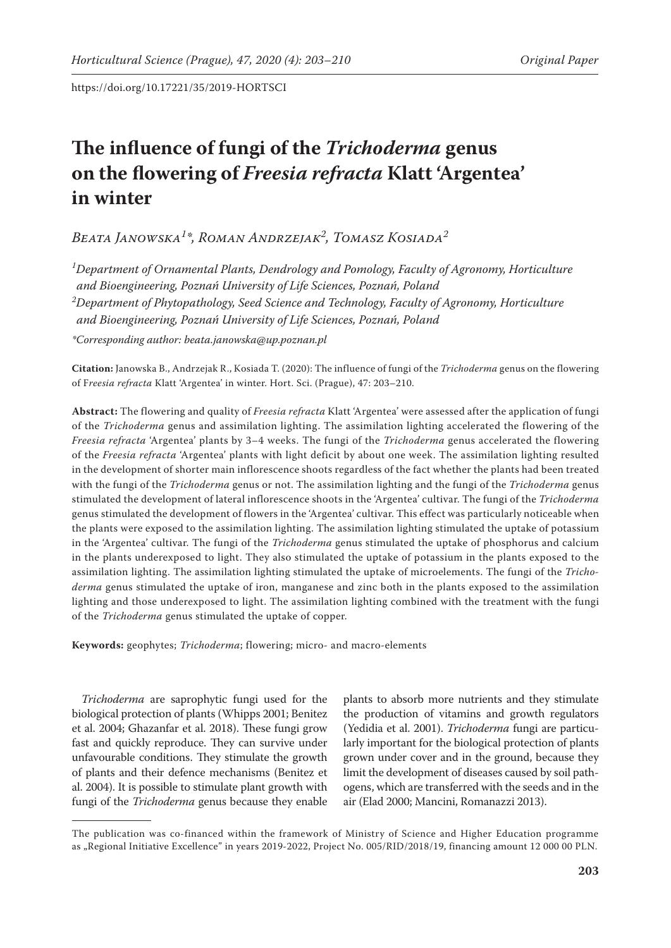# **The influence of fungi of the** *Trichoderma* **genus on the flowering of** *Freesia refracta* **Klatt 'Argentea' in winter**

*Beata Janowska<sup>1</sup> \*, Roman Andrzejak<sup>2</sup> , Tomasz Kosiada2*

*1 Department of Ornamental Plants, Dendrology and Pomology, Faculty of Agronomy, Horticulture and Bioengineering, Poznań University of Life Sciences, Poznań, Poland 2 Department of Phytopathology, Seed Science and Technology, Faculty of Agronomy, Horticulture and Bioengineering, Poznań University of Life Sciences, Poznań, Poland* 

*\*Corresponding author: beata.janowska@up.poznan.pl*

**Citation:** Janowska B., Andrzejak R., Kosiada T. (2020): The influence of fungi of the *Trichoderma* genus on the flowering of F*reesia refracta* Klatt 'Argentea' in winter. Hort. Sci. (Prague), 47: 203–210.

**Abstract:** The flowering and quality of *Freesia refracta* Klatt 'Argentea' were assessed after the application of fungi of the *Trichoderma* genus and assimilation lighting. The assimilation lighting accelerated the flowering of the *Freesia refracta* 'Argentea' plants by 3–4 weeks. The fungi of the *Trichoderma* genus accelerated the flowering of the *Freesia refracta* 'Argentea' plants with light deficit by about one week. The assimilation lighting resulted in the development of shorter main inflorescence shoots regardless of the fact whether the plants had been treated with the fungi of the *Trichoderma* genus or not. The assimilation lighting and the fungi of the *Trichoderma* genus stimulated the development of lateral inflorescence shoots in the 'Argentea' cultivar. The fungi of the *Trichoderma* genus stimulated the development of flowers in the 'Argentea' cultivar. This effect was particularly noticeable when the plants were exposed to the assimilation lighting. The assimilation lighting stimulated the uptake of potassium in the 'Argentea' cultivar. The fungi of the *Trichoderma* genus stimulated the uptake of phosphorus and calcium in the plants underexposed to light. They also stimulated the uptake of potassium in the plants exposed to the assimilation lighting. The assimilation lighting stimulated the uptake of microelements. The fungi of the *Trichoderma* genus stimulated the uptake of iron, manganese and zinc both in the plants exposed to the assimilation lighting and those underexposed to light. The assimilation lighting combined with the treatment with the fungi of the *Trichoderma* genus stimulated the uptake of copper.

**Keywords:** geophytes; *Trichoderma*; flowering; micro- and macro-elements

*Trichoderma* are saprophytic fungi used for the biological protection of plants (Whipps 2001; Benitez et al. 2004; Ghazanfar et al. 2018). These fungi grow fast and quickly reproduce. They can survive under unfavourable conditions. They stimulate the growth of plants and their defence mechanisms (Benitez et al. 2004). It is possible to stimulate plant growth with fungi of the *Trichoderma* genus because they enable

plants to absorb more nutrients and they stimulate the production of vitamins and growth regulators (Yedidia et al. 2001). *Trichoderma* fungi are particularly important for the biological protection of plants grown under cover and in the ground, because they limit the development of diseases caused by soil pathogens, which are transferred with the seeds and in the air (Elad 2000; Mancini, Romanazzi 2013).

The publication was co-financed within the framework of Ministry of Science and Higher Education programme as "Regional Initiative Excellence" in years 2019-2022, Project No. 005/RID/2018/19, financing amount 12 000 00 PLN.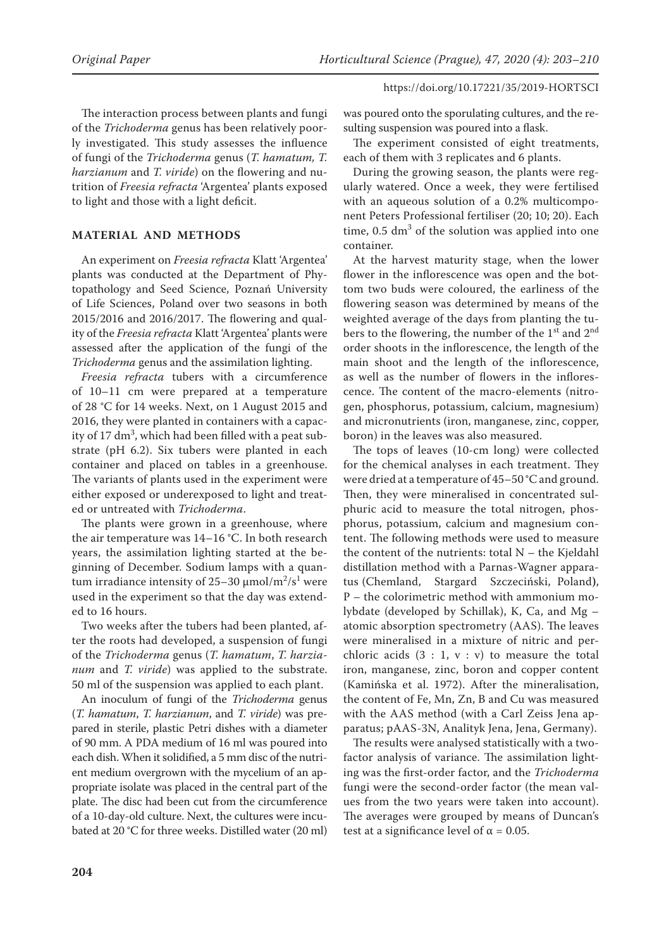The interaction process between plants and fungi of the *Trichoderma* genus has been relatively poorly investigated. This study assesses the influence of fungi of the *Trichoderma* genus (*T. hamatum, T. harzianum* and *T. viride*) on the flowering and nutrition of *Freesia refracta* 'Argentea' plants exposed to light and those with a light deficit.

### **MATERIAL AND METHODS**

An experiment on *Freesia refracta* Klatt 'Argentea' plants was conducted at the Department of Phytopathology and Seed Science, Poznań University of Life Sciences, Poland over two seasons in both 2015/2016 and 2016/2017. The flowering and quality of the *Freesia refracta* Klatt 'Argentea' plants were assessed after the application of the fungi of the *Trichoderma* genus and the assimilation lighting.

*Freesia refracta* tubers with a circumference of 10–11 cm were prepared at a temperature of 28 °C for 14 weeks. Next, on 1 August 2015 and 2016, they were planted in containers with a capacity of 17  $\rm{dm^3}$ , which had been filled with a peat substrate (pH 6.2). Six tubers were planted in each container and placed on tables in a greenhouse. The variants of plants used in the experiment were either exposed or underexposed to light and treated or untreated with *Trichoderma*.

The plants were grown in a greenhouse, where the air temperature was 14–16 °C. In both research years, the assimilation lighting started at the beginning of December. Sodium lamps with a quantum irradiance intensity of 25–30 μmol/m<sup>2</sup>/s<sup>1</sup> were used in the experiment so that the day was extended to 16 hours.

Two weeks after the tubers had been planted, after the roots had developed, a suspension of fungi of the *Trichoderma* genus (*T. hamatum*, *T. harzianum* and *T. viride*) was applied to the substrate. 50 ml of the suspension was applied to each plant.

An inoculum of fungi of the *Trichoderma* genus (*T. hamatum*, *T. harzianum*, and *T. viride*) was prepared in sterile, plastic Petri dishes with a diameter of 90 mm. A PDA medium of 16 ml was poured into each dish. When it solidified, a 5 mm disc of the nutrient medium overgrown with the mycelium of an appropriate isolate was placed in the central part of the plate. The disc had been cut from the circumference of a 10-day-old culture. Next, the cultures were incubated at 20 °C for three weeks. Distilled water (20 ml)

was poured onto the sporulating cultures, and the resulting suspension was poured into a flask.

The experiment consisted of eight treatments, each of them with 3 replicates and 6 plants.

During the growing season, the plants were regularly watered. Once a week, they were fertilised with an aqueous solution of a 0.2% multicomponent Peters Professional fertiliser (20; 10; 20). Each time,  $0.5 \text{ dm}^3$  of the solution was applied into one container.

At the harvest maturity stage, when the lower flower in the inflorescence was open and the bottom two buds were coloured, the earliness of the flowering season was determined by means of the weighted average of the days from planting the tubers to the flowering, the number of the 1<sup>st</sup> and 2<sup>nd</sup> order shoots in the inflorescence, the length of the main shoot and the length of the inflorescence, as well as the number of flowers in the inflorescence. The content of the macro-elements (nitrogen, phosphorus, potassium, calcium, magnesium) and micronutrients (iron, manganese, zinc, copper, boron) in the leaves was also measured.

The tops of leaves (10-cm long) were collected for the chemical analyses in each treatment. They were dried at a temperature of 45–50 °C and ground. Then, they were mineralised in concentrated sulphuric acid to measure the total nitrogen, phosphorus, potassium, calcium and magnesium content. The following methods were used to measure the content of the nutrients: total  $N -$  the Kjeldahl distillation method with a Parnas-Wagner apparatus (Chemland, Stargard Szczeciński, Poland**)**, P – the colorimetric method with ammonium molybdate (developed by Schillak), K, Ca, and Mg – atomic absorption spectrometry (AAS). The leaves were mineralised in a mixture of nitric and perchloric acids  $(3 : 1, v : v)$  to measure the total iron, manganese, zinc, boron and copper content (Kamińska et al. 1972). After the mineralisation, the content of Fe, Mn, Zn, B and Cu was measured with the AAS method (with a Carl Zeiss Jena apparatus; pAAS-3N, Analityk Jena, Jena, Germany).

The results were analysed statistically with a twofactor analysis of variance. The assimilation lighting was the first-order factor, and the *Trichoderma* fungi were the second-order factor (the mean values from the two years were taken into account). The averages were grouped by means of Duncan's test at a significance level of  $\alpha$  = 0.05.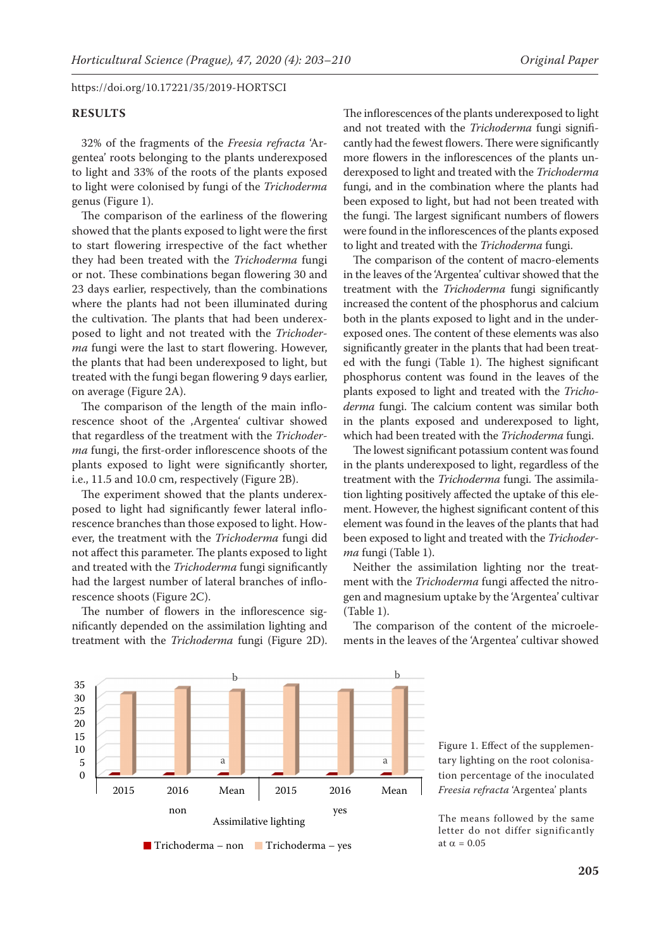### **RESULTS**

32% of the fragments of the *Freesia refracta* 'Argentea' roots belonging to the plants underexposed to light and 33% of the roots of the plants exposed to light were colonised by fungi of the *Trichoderma* genus (Figure 1).

The comparison of the earliness of the flowering showed that the plants exposed to light were the first to start flowering irrespective of the fact whether they had been treated with the *Trichoderma* fungi or not. These combinations began flowering 30 and 23 days earlier, respectively, than the combinations where the plants had not been illuminated during the cultivation. The plants that had been underexposed to light and not treated with the *Trichoderma* fungi were the last to start flowering. However, the plants that had been underexposed to light, but treated with the fungi began flowering 9 days earlier, on average (Figure 2A).

The comparison of the length of the main inflorescence shoot of the ,Argentea' cultivar showed that regardless of the treatment with the *Trichoderma* fungi, the first-order inflorescence shoots of the plants exposed to light were significantly shorter, i.e., 11.5 and 10.0 cm, respectively (Figure 2B).

The experiment showed that the plants underexposed to light had significantly fewer lateral inflorescence branches than those exposed to light. However, the treatment with the *Trichoderma* fungi did not affect this parameter. The plants exposed to light and treated with the *Trichoderma* fungi significantly had the largest number of lateral branches of inflorescence shoots (Figure 2C).

The number of flowers in the inflorescence significantly depended on the assimilation lighting and treatment with the *Trichoderma* fungi (Figure 2D). The inflorescences of the plants underexposed to light and not treated with the *Trichoderma* fungi significantly had the fewest flowers. There were significantly more flowers in the inflorescences of the plants underexposed to light and treated with the *Trichoderma* fungi, and in the combination where the plants had been exposed to light, but had not been treated with the fungi. The largest significant numbers of flowers were found in the inflorescences of the plants exposed to light and treated with the *Trichoderma* fungi.

The comparison of the content of macro-elements in the leaves of the 'Argentea' cultivar showed that the treatment with the *Trichoderma* fungi significantly increased the content of the phosphorus and calcium both in the plants exposed to light and in the underexposed ones. The content of these elements was also significantly greater in the plants that had been treated with the fungi (Table 1). The highest significant phosphorus content was found in the leaves of the plants exposed to light and treated with the *Trichoderma* fungi. The calcium content was similar both in the plants exposed and underexposed to light, which had been treated with the *Trichoderma* fungi.

The lowest significant potassium content was found in the plants underexposed to light, regardless of the treatment with the *Trichoderma* fungi. The assimilation lighting positively affected the uptake of this element. However, the highest significant content of this element was found in the leaves of the plants that had been exposed to light and treated with the *Trichoderma* fungi (Table 1).

Neither the assimilation lighting nor the treatment with the *Trichoderma* fungi affected the nitrogen and magnesium uptake by the 'Argentea' cultivar (Table 1).

The comparison of the content of the microelements in the leaves of the 'Argentea' cultivar showed



The means followed by the same letter do not differ significantly at  $\alpha = 0.05$ 



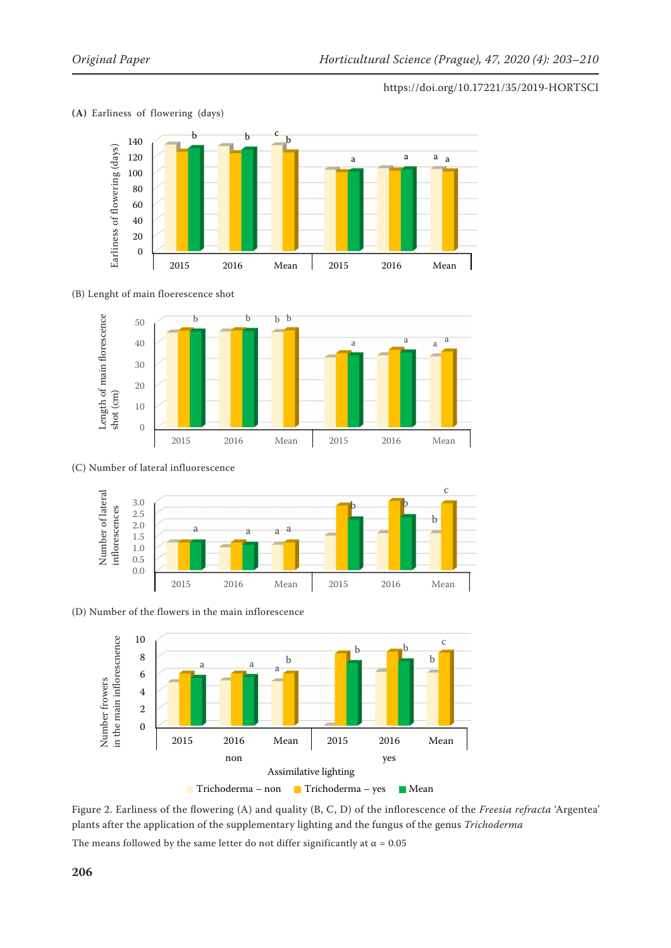

### **(A)** Earliness of flowering (days)

#### $\mathbf{r}$ (B) Lenght of main floerescence shot



## (C) Number of lateral influorescence (C) Number of lateral influorescence



(D) Number of the flowers in the main inflorescence



Figure 2. Earliness of the flowering (A) and quality (B, C, D) of the inflorescence of the *Freesia refracta* 'Argentea' plants after the application of the supplementary lighting and the fungus of the genus *Trichoderma*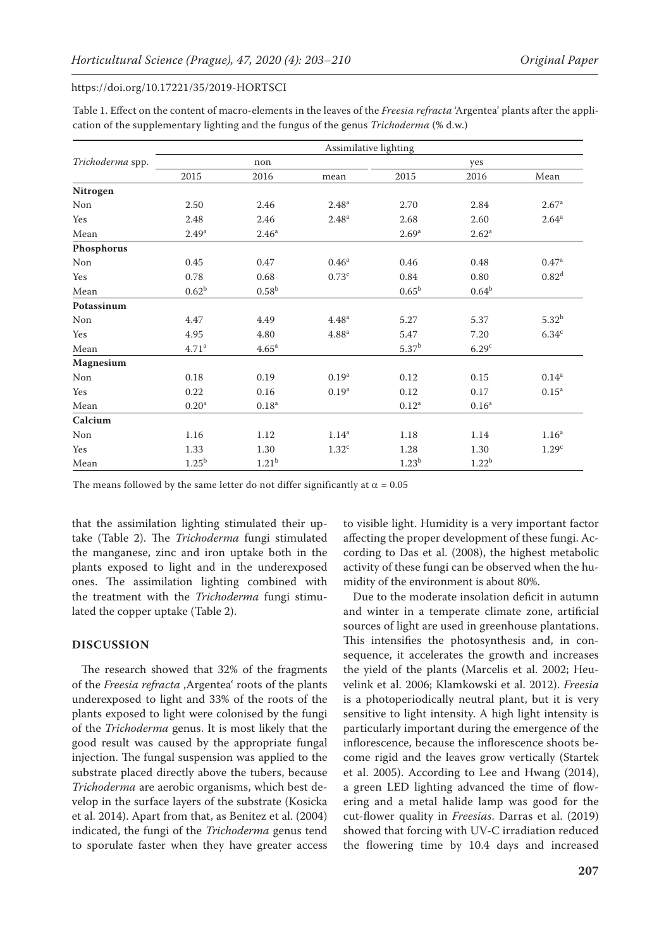| Table 1. Effect on the content of macro-elements in the leaves of the Freesia refracta 'Argentea' plants after the appli- |  |
|---------------------------------------------------------------------------------------------------------------------------|--|
| cation of the supplementary lighting and the fungus of the genus Trichoderma (% d.w.)                                     |  |

|                  | Assimilative lighting |                   |                   |                   |                   |                     |
|------------------|-----------------------|-------------------|-------------------|-------------------|-------------------|---------------------|
| Trichoderma spp. | non                   |                   |                   | yes               |                   |                     |
|                  | 2015                  | 2016              | mean              | 2015              | 2016              | Mean                |
| Nitrogen         |                       |                   |                   |                   |                   |                     |
| Non              | 2.50                  | 2.46              | 2.48 <sup>a</sup> | 2.70              | 2.84              | 2.67 <sup>a</sup>   |
| Yes              | 2.48                  | 2.46              | 2.48 <sup>a</sup> | 2.68              | 2.60              | $2.64$ <sup>a</sup> |
| Mean             | 2.49 <sup>a</sup>     | 2.46 <sup>a</sup> |                   | 2.69 <sup>a</sup> | 2.62 <sup>a</sup> |                     |
| Phosphorus       |                       |                   |                   |                   |                   |                     |
| Non              | 0.45                  | 0.47              | 0.46 <sup>a</sup> | 0.46              | 0.48              | 0.47 <sup>a</sup>   |
| Yes              | 0.78                  | 0.68              | 0.73 <sup>c</sup> | 0.84              | 0.80              | 0.82 <sup>d</sup>   |
| Mean             | $0.62^{b}$            | 0.58 <sup>b</sup> |                   | $0.65^{\rm b}$    | $0.64^{b}$        |                     |
| Potassinum       |                       |                   |                   |                   |                   |                     |
| Non              | 4.47                  | 4.49              | 4.48 <sup>a</sup> | 5.27              | 5.37              | $5.32^{b}$          |
| Yes              | 4.95                  | 4.80              | 4.88 <sup>a</sup> | 5.47              | 7.20              | 6.34 <sup>c</sup>   |
| Mean             | 4.71 <sup>a</sup>     | 4.65 <sup>a</sup> |                   | 5.37 <sup>b</sup> | 6.29 <sup>c</sup> |                     |
| Magnesium        |                       |                   |                   |                   |                   |                     |
| Non              | 0.18                  | 0.19              | 0.19 <sup>a</sup> | 0.12              | 0.15              | $0.14\mathrm{^a}$   |
| Yes              | 0.22                  | 0.16              | 0.19 <sup>a</sup> | 0.12              | 0.17              | $0.15^{a}$          |
| Mean             | 0.20 <sup>a</sup>     | $0.18^{a}$        |                   | $0.12^a$          | 0.16 <sup>a</sup> |                     |
| Calcium          |                       |                   |                   |                   |                   |                     |
| Non              | 1.16                  | 1.12              | 1.14 <sup>a</sup> | 1.18              | 1.14              | 1.16 <sup>a</sup>   |
| Yes              | 1.33                  | 1.30              | 1.32 <sup>c</sup> | 1.28              | 1.30              | 1.29 <sup>c</sup>   |
| Mean             | $1.25^{b}$            | 1.21 <sup>b</sup> |                   | 1.23 <sup>b</sup> | 1.22 <sup>b</sup> |                     |

The means followed by the same letter do not differ significantly at  $\alpha = 0.05$ 

that the assimilation lighting stimulated their uptake (Table 2). The *Trichoderma* fungi stimulated the manganese, zinc and iron uptake both in the plants exposed to light and in the underexposed ones. The assimilation lighting combined with the treatment with the *Trichoderma* fungi stimulated the copper uptake (Table 2).

### **DISCUSSION**

The research showed that 32% of the fragments of the *Freesia refracta* , Argentea' roots of the plants underexposed to light and 33% of the roots of the plants exposed to light were colonised by the fungi of the *Trichoderma* genus. It is most likely that the good result was caused by the appropriate fungal injection. The fungal suspension was applied to the substrate placed directly above the tubers, because *Trichoderma* are aerobic organisms, which best develop in the surface layers of the substrate (Kosicka et al. 2014). Apart from that, as Benitez et al. (2004) indicated, the fungi of the *Trichoderma* genus tend to sporulate faster when they have greater access to visible light. Humidity is a very important factor affecting the proper development of these fungi. According to Das et al. (2008), the highest metabolic activity of these fungi can be observed when the humidity of the environment is about 80%.

Due to the moderate insolation deficit in autumn and winter in a temperate climate zone, artificial sources of light are used in greenhouse plantations. This intensifies the photosynthesis and, in consequence, it accelerates the growth and increases the yield of the plants (Marcelis et al. 2002; Heuvelink et al. 2006; Klamkowski et al. 2012). *Freesia* is a photoperiodically neutral plant, but it is very sensitive to light intensity. A high light intensity is particularly important during the emergence of the inflorescence, because the inflorescence shoots become rigid and the leaves grow vertically (Startek et al. 2005). According to Lee and Hwang (2014), a green LED lighting advanced the time of flowering and a metal halide lamp was good for the cut-flower quality in *Freesias*. Darras et al. (2019) showed that forcing with UV-C irradiation reduced the flowering time by 10.4 days and increased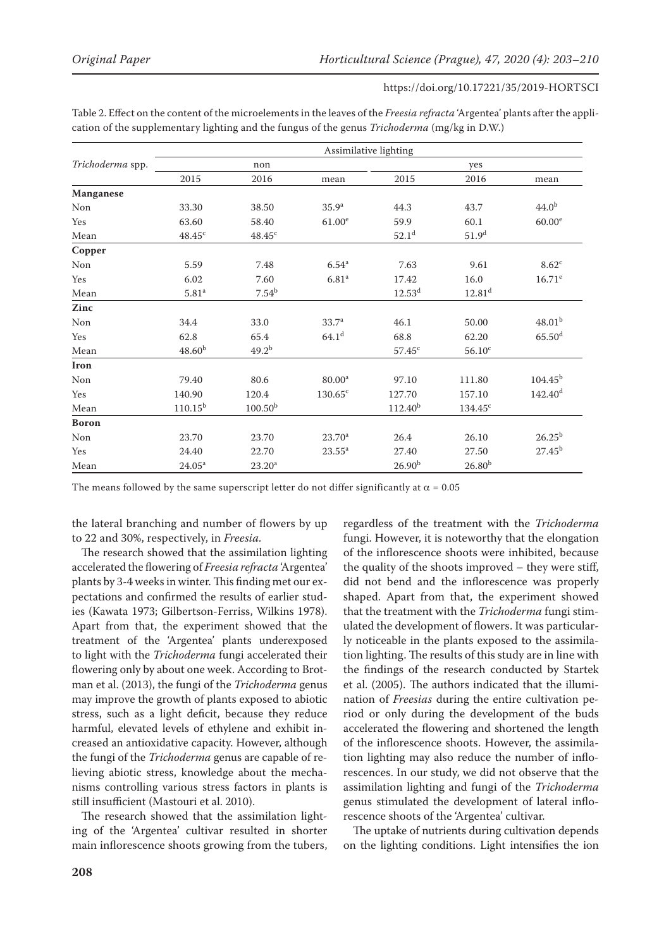| Table 2. Effect on the content of the microelements in the leaves of the Freesia refracta 'Argentea' plants after the appli- |  |
|------------------------------------------------------------------------------------------------------------------------------|--|
| cation of the supplementary lighting and the fungus of the genus Trichoderma (mg/kg in D.W.)                                 |  |

|                  | Assimilative lighting |                     |                    |                     |                    |                      |  |
|------------------|-----------------------|---------------------|--------------------|---------------------|--------------------|----------------------|--|
| Trichoderma spp. | non                   |                     |                    | yes                 |                    |                      |  |
|                  | 2015                  | 2016                | mean               | 2015                | 2016               | mean                 |  |
| Manganese        |                       |                     |                    |                     |                    |                      |  |
| Non              | 33.30                 | 38.50               | 35.9 <sup>a</sup>  | 44.3                | 43.7               | 44.0 <sup>b</sup>    |  |
| Yes              | 63.60                 | 58.40               | 61.00 <sup>e</sup> | 59.9                | 60.1               | 60.00 <sup>e</sup>   |  |
| Mean             | $48.45^{\circ}$       | $48.45^{\circ}$     |                    | $52.1^d$            | 51.9 <sup>d</sup>  |                      |  |
| Copper           |                       |                     |                    |                     |                    |                      |  |
| Non              | 5.59                  | 7.48                | 6.54 <sup>a</sup>  | 7.63                | 9.61               | 8.62 <sup>c</sup>    |  |
| Yes              | 6.02                  | 7.60                | 6.81 <sup>a</sup>  | 17.42               | 16.0               | $16.71^e$            |  |
| Mean             | 5.81 <sup>a</sup>     | $7.54^{b}$          |                    | $12.53^d$           | 12.81 <sup>d</sup> |                      |  |
| Zinc             |                       |                     |                    |                     |                    |                      |  |
| Non              | 34.4                  | 33.0                | 33.7 <sup>a</sup>  | 46.1                | 50.00              | 48.01 <sup>b</sup>   |  |
| Yes              | 62.8                  | 65.4                | 64.1 <sup>d</sup>  | 68.8                | 62.20              | $65.50$ <sup>d</sup> |  |
| Mean             | 48.60 <sup>b</sup>    | $49.2^{b}$          |                    | 57.45 <sup>c</sup>  | $56.10^{\circ}$    |                      |  |
| Iron             |                       |                     |                    |                     |                    |                      |  |
| Non              | 79.40                 | 80.6                | 80.00 <sup>a</sup> | 97.10               | 111.80             | $104.45^{b}$         |  |
| Yes              | 140.90                | 120.4               | $130.65^c$         | 127.70              | 157.10             | 142.40 <sup>d</sup>  |  |
| Mean             | $110.15^{b}$          | 100.50 <sup>b</sup> |                    | 112.40 <sup>b</sup> | $134.45^{\circ}$   |                      |  |
| <b>Boron</b>     |                       |                     |                    |                     |                    |                      |  |
| Non              | 23.70                 | 23.70               | $23.70^a$          | 26.4                | 26.10              | $26.25^{b}$          |  |
| Yes              | 24.40                 | 22.70               | $23.55^{\rm a}$    | 27.40               | 27.50              | $27.45^{b}$          |  |
| Mean             | $24.05^{\rm a}$       | 23.20 <sup>a</sup>  |                    | 26.90 <sup>b</sup>  | $26.80^{b}$        |                      |  |

The means followed by the same superscript letter do not differ significantly at  $\alpha = 0.05$ 

the lateral branching and number of flowers by up to 22 and 30%, respectively, in *Freesia.*

The research showed that the assimilation lighting accelerated the flowering of *Freesia refracta* 'Argentea' plants by 3-4 weeks in winter. This finding met our expectations and confirmed the results of earlier studies (Kawata 1973; Gilbertson-Ferriss, Wilkins 1978). Apart from that, the experiment showed that the treatment of the 'Argentea' plants underexposed to light with the *Trichoderma* fungi accelerated their flowering only by about one week. According to Brotman et al. (2013), the fungi of the *Trichoderma* genus may improve the growth of plants exposed to abiotic stress, such as a light deficit, because they reduce harmful, elevated levels of ethylene and exhibit increased an antioxidative capacity. However, although the fungi of the *Trichoderma* genus are capable of relieving abiotic stress, knowledge about the mechanisms controlling various stress factors in plants is still insufficient (Mastouri et al. 2010).

The research showed that the assimilation lighting of the 'Argentea' cultivar resulted in shorter main inflorescence shoots growing from the tubers, regardless of the treatment with the *Trichoderma* fungi. However, it is noteworthy that the elongation of the inflorescence shoots were inhibited, because the quality of the shoots improved – they were stiff, did not bend and the inflorescence was properly shaped. Apart from that, the experiment showed that the treatment with the *Trichoderma* fungi stimulated the development of flowers. It was particularly noticeable in the plants exposed to the assimilation lighting. The results of this study are in line with the findings of the research conducted by Startek et al. (2005). The authors indicated that the illumination of *Freesias* during the entire cultivation period or only during the development of the buds accelerated the flowering and shortened the length of the inflorescence shoots. However, the assimilation lighting may also reduce the number of inflorescences. In our study, we did not observe that the assimilation lighting and fungi of the *Trichoderma* genus stimulated the development of lateral inflorescence shoots of the 'Argentea' cultivar.

The uptake of nutrients during cultivation depends on the lighting conditions. Light intensifies the ion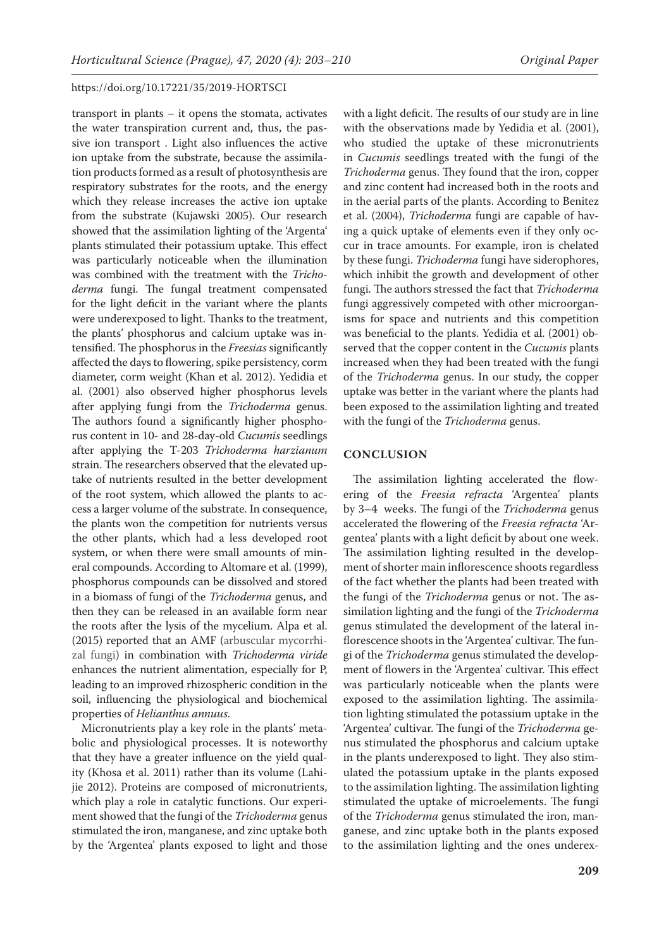transport in plants – it opens the stomata, activates the water transpiration current and, thus, the passive ion transport . Light also influences the active ion uptake from the substrate, because the assimilation products formed as a result of photosynthesis are respiratory substrates for the roots, and the energy which they release increases the active ion uptake from the substrate (Kujawski 2005). Our research showed that the assimilation lighting of the 'Argenta' plants stimulated their potassium uptake. This effect was particularly noticeable when the illumination was combined with the treatment with the *Trichoderma* fungi. The fungal treatment compensated for the light deficit in the variant where the plants were underexposed to light. Thanks to the treatment, the plants' phosphorus and calcium uptake was intensified. The phosphorus in the *Freesias* significantly affected the days to flowering, spike persistency, corm diameter, corm weight (Khan et al. 2012). Yedidia et al. (2001) also observed higher phosphorus levels after applying fungi from the *Trichoderma* genus. The authors found a significantly higher phosphorus content in 10- and 28-day-old *Cucumis* seedlings after applying the T-203 *Trichoderma harzianum*  strain. The researchers observed that the elevated uptake of nutrients resulted in the better development of the root system, which allowed the plants to access a larger volume of the substrate. In consequence, the plants won the competition for nutrients versus the other plants, which had a less developed root system, or when there were small amounts of mineral compounds. According to Altomare et al. (1999), phosphorus compounds can be dissolved and stored in a biomass of fungi of the *Trichoderma* genus, and then they can be released in an available form near the roots after the lysis of the mycelium. Alpa et al. (2015) reported that an AMF (arbuscular mycorrhizal fungi) in combination with *Trichoderma viride* enhances the nutrient alimentation, especially for P, leading to an improved rhizospheric condition in the soil, influencing the physiological and biochemical properties of *Helianthus annuus*.

Micronutrients play a key role in the plants' metabolic and physiological processes. It is noteworthy that they have a greater influence on the yield quality (Khosa et al. 2011) rather than its volume (Lahijie 2012). Proteins are composed of micronutrients, which play a role in catalytic functions. Our experiment showed that the fungi of the *Trichoderma* genus stimulated the iron, manganese, and zinc uptake both by the 'Argentea' plants exposed to light and those

with a light deficit. The results of our study are in line with the observations made by Yedidia et al. (2001), who studied the uptake of these micronutrients in *Cucumis* seedlings treated with the fungi of the *Trichoderma* genus. They found that the iron, copper and zinc content had increased both in the roots and in the aerial parts of the plants. According to Benitez et al. (2004), *Trichoderma* fungi are capable of having a quick uptake of elements even if they only occur in trace amounts. For example, iron is chelated by these fungi. *Trichoderma* fungi have siderophores, which inhibit the growth and development of other fungi. The authors stressed the fact that *Trichoderma* fungi aggressively competed with other microorganisms for space and nutrients and this competition was beneficial to the plants. Yedidia et al. (2001) observed that the copper content in the *Cucumis* plants increased when they had been treated with the fungi of the *Trichoderma* genus. In our study, the copper uptake was better in the variant where the plants had been exposed to the assimilation lighting and treated with the fungi of the *Trichoderma* genus.

### **CONCLUSION**

The assimilation lighting accelerated the flowering of the *Freesia refracta* 'Argentea' plants by 3–4 weeks. The fungi of the *Trichoderma* genus accelerated the flowering of the *Freesia refracta* 'Argentea' plants with a light deficit by about one week. The assimilation lighting resulted in the development of shorter main inflorescence shoots regardless of the fact whether the plants had been treated with the fungi of the *Trichoderma* genus or not. The assimilation lighting and the fungi of the *Trichoderma* genus stimulated the development of the lateral inflorescence shoots in the 'Argentea' cultivar. The fungi of the *Trichoderma* genus stimulated the development of flowers in the 'Argentea' cultivar. This effect was particularly noticeable when the plants were exposed to the assimilation lighting. The assimilation lighting stimulated the potassium uptake in the 'Argentea' cultivar. The fungi of the *Trichoderma* genus stimulated the phosphorus and calcium uptake in the plants underexposed to light. They also stimulated the potassium uptake in the plants exposed to the assimilation lighting. The assimilation lighting stimulated the uptake of microelements. The fungi of the *Trichoderma* genus stimulated the iron, manganese, and zinc uptake both in the plants exposed to the assimilation lighting and the ones underex-